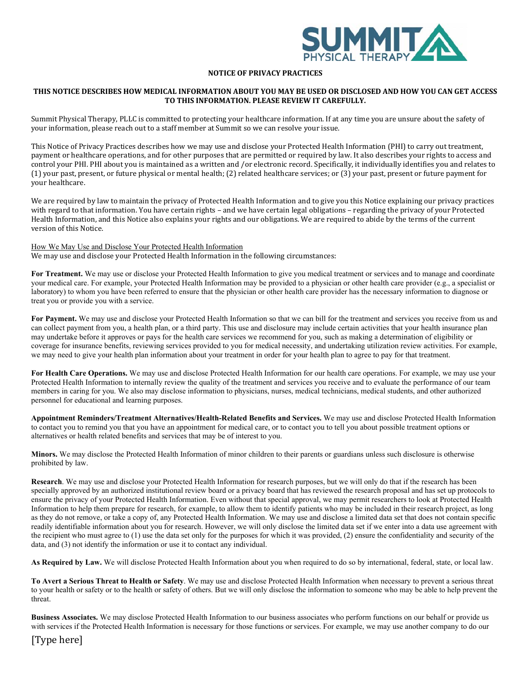

### **NOTICE OF PRIVACY PRACTICES**

### THIS NOTICE DESCRIBES HOW MEDICAL INFORMATION ABOUT YOU MAY BE USED OR DISCLOSED AND HOW YOU CAN GET ACCESS **TO THIS INFORMATION. PLEASE REVIEW IT CAREFULLY.**

Summit Physical Therapy, PLLC is committed to protecting your healthcare information. If at any time you are unsure about the safety of your information, please reach out to a staff member at Summit so we can resolve your issue.

This Notice of Privacy Practices describes how we may use and disclose your Protected Health Information (PHI) to carry out treatment, payment or healthcare operations, and for other purposes that are permitted or required by law. It also describes your rights to access and control your PHI. PHI about you is maintained as a written and /or electronic record. Specifically, it individually identifies you and relates to (1) your past, present, or future physical or mental health; (2) related healthcare services; or (3) your past, present or future payment for your healthcare.

We are required by law to maintain the privacy of Protected Health Information and to give you this Notice explaining our privacy practices with regard to that information. You have certain rights - and we have certain legal obligations - regarding the privacy of your Protected Health Information, and this Notice also explains your rights and our obligations. We are required to abide by the terms of the current version of this Notice.

How We May Use and Disclose Your Protected Health Information We may use and disclose your Protected Health Information in the following circumstances:

**For Treatment.** We may use or disclose your Protected Health Information to give you medical treatment or services and to manage and coordinate your medical care. For example, your Protected Health Information may be provided to a physician or other health care provider (e.g., a specialist or laboratory) to whom you have been referred to ensure that the physician or other health care provider has the necessary information to diagnose or treat you or provide you with a service.

**For Payment.** We may use and disclose your Protected Health Information so that we can bill for the treatment and services you receive from us and can collect payment from you, a health plan, or a third party. This use and disclosure may include certain activities that your health insurance plan may undertake before it approves or pays for the health care services we recommend for you, such as making a determination of eligibility or coverage for insurance benefits, reviewing services provided to you for medical necessity, and undertaking utilization review activities. For example, we may need to give your health plan information about your treatment in order for your health plan to agree to pay for that treatment.

**For Health Care Operations.** We may use and disclose Protected Health Information for our health care operations. For example, we may use your Protected Health Information to internally review the quality of the treatment and services you receive and to evaluate the performance of our team members in caring for you. We also may disclose information to physicians, nurses, medical technicians, medical students, and other authorized personnel for educational and learning purposes.

**Appointment Reminders/Treatment Alternatives/Health-Related Benefits and Services.** We may use and disclose Protected Health Information to contact you to remind you that you have an appointment for medical care, or to contact you to tell you about possible treatment options or alternatives or health related benefits and services that may be of interest to you.

**Minors.** We may disclose the Protected Health Information of minor children to their parents or guardians unless such disclosure is otherwise prohibited by law.

**Research**. We may use and disclose your Protected Health Information for research purposes, but we will only do that if the research has been specially approved by an authorized institutional review board or a privacy board that has reviewed the research proposal and has set up protocols to ensure the privacy of your Protected Health Information. Even without that special approval, we may permit researchers to look at Protected Health Information to help them prepare for research, for example, to allow them to identify patients who may be included in their research project, as long as they do not remove, or take a copy of, any Protected Health Information. We may use and disclose a limited data set that does not contain specific readily identifiable information about you for research. However, we will only disclose the limited data set if we enter into a data use agreement with the recipient who must agree to (1) use the data set only for the purposes for which it was provided, (2) ensure the confidentiality and security of the data, and (3) not identify the information or use it to contact any individual.

**As Required by Law.** We will disclose Protected Health Information about you when required to do so by international, federal, state, or local law.

**To Avert a Serious Threat to Health or Safety**. We may use and disclose Protected Health Information when necessary to prevent a serious threat to your health or safety or to the health or safety of others. But we will only disclose the information to someone who may be able to help prevent the threat.

**Business Associates.** We may disclose Protected Health Information to our business associates who perform functions on our behalf or provide us with services if the Protected Health Information is necessary for those functions or services. For example, we may use another company to do our

[Type here]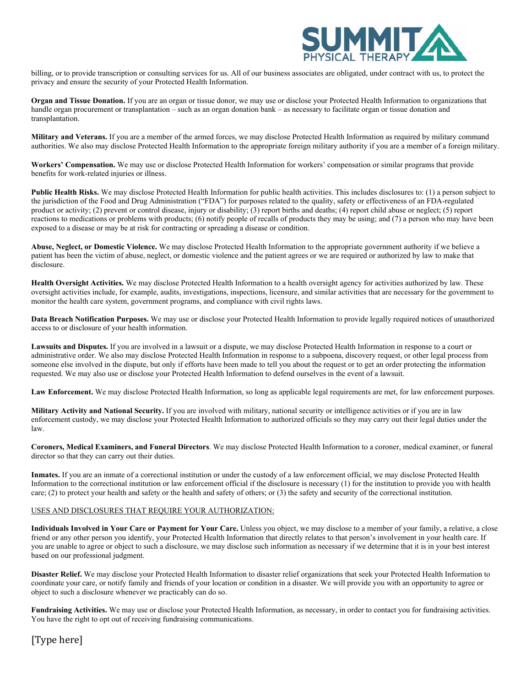

billing, or to provide transcription or consulting services for us. All of our business associates are obligated, under contract with us, to protect the privacy and ensure the security of your Protected Health Information.

**Organ and Tissue Donation.** If you are an organ or tissue donor, we may use or disclose your Protected Health Information to organizations that handle organ procurement or transplantation – such as an organ donation bank – as necessary to facilitate organ or tissue donation and transplantation.

**Military and Veterans.** If you are a member of the armed forces, we may disclose Protected Health Information as required by military command authorities. We also may disclose Protected Health Information to the appropriate foreign military authority if you are a member of a foreign military.

**Workers' Compensation.** We may use or disclose Protected Health Information for workers' compensation or similar programs that provide benefits for work-related injuries or illness.

**Public Health Risks.** We may disclose Protected Health Information for public health activities. This includes disclosures to: (1) a person subject to the jurisdiction of the Food and Drug Administration ("FDA") for purposes related to the quality, safety or effectiveness of an FDA-regulated product or activity; (2) prevent or control disease, injury or disability; (3) report births and deaths; (4) report child abuse or neglect; (5) report reactions to medications or problems with products; (6) notify people of recalls of products they may be using; and (7) a person who may have been exposed to a disease or may be at risk for contracting or spreading a disease or condition.

**Abuse, Neglect, or Domestic Violence.** We may disclose Protected Health Information to the appropriate government authority if we believe a patient has been the victim of abuse, neglect, or domestic violence and the patient agrees or we are required or authorized by law to make that disclosure.

**Health Oversight Activities.** We may disclose Protected Health Information to a health oversight agency for activities authorized by law. These oversight activities include, for example, audits, investigations, inspections, licensure, and similar activities that are necessary for the government to monitor the health care system, government programs, and compliance with civil rights laws.

**Data Breach Notification Purposes.** We may use or disclose your Protected Health Information to provide legally required notices of unauthorized access to or disclosure of your health information.

**Lawsuits and Disputes.** If you are involved in a lawsuit or a dispute, we may disclose Protected Health Information in response to a court or administrative order. We also may disclose Protected Health Information in response to a subpoena, discovery request, or other legal process from someone else involved in the dispute, but only if efforts have been made to tell you about the request or to get an order protecting the information requested. We may also use or disclose your Protected Health Information to defend ourselves in the event of a lawsuit.

**Law Enforcement.** We may disclose Protected Health Information, so long as applicable legal requirements are met, for law enforcement purposes.

**Military Activity and National Security.** If you are involved with military, national security or intelligence activities or if you are in law enforcement custody, we may disclose your Protected Health Information to authorized officials so they may carry out their legal duties under the law.

**Coroners, Medical Examiners, and Funeral Directors**. We may disclose Protected Health Information to a coroner, medical examiner, or funeral director so that they can carry out their duties.

**Inmates.** If you are an inmate of a correctional institution or under the custody of a law enforcement official, we may disclose Protected Health Information to the correctional institution or law enforcement official if the disclosure is necessary (1) for the institution to provide you with health care; (2) to protect your health and safety or the health and safety of others; or (3) the safety and security of the correctional institution.

## USES AND DISCLOSURES THAT REQUIRE YOUR AUTHORIZATION:

**Individuals Involved in Your Care or Payment for Your Care.** Unless you object, we may disclose to a member of your family, a relative, a close friend or any other person you identify, your Protected Health Information that directly relates to that person's involvement in your health care. If you are unable to agree or object to such a disclosure, we may disclose such information as necessary if we determine that it is in your best interest based on our professional judgment.

**Disaster Relief.** We may disclose your Protected Health Information to disaster relief organizations that seek your Protected Health Information to coordinate your care, or notify family and friends of your location or condition in a disaster. We will provide you with an opportunity to agree or object to such a disclosure whenever we practicably can do so.

**Fundraising Activities.** We may use or disclose your Protected Health Information, as necessary, in order to contact you for fundraising activities. You have the right to opt out of receiving fundraising communications.

# [Type here]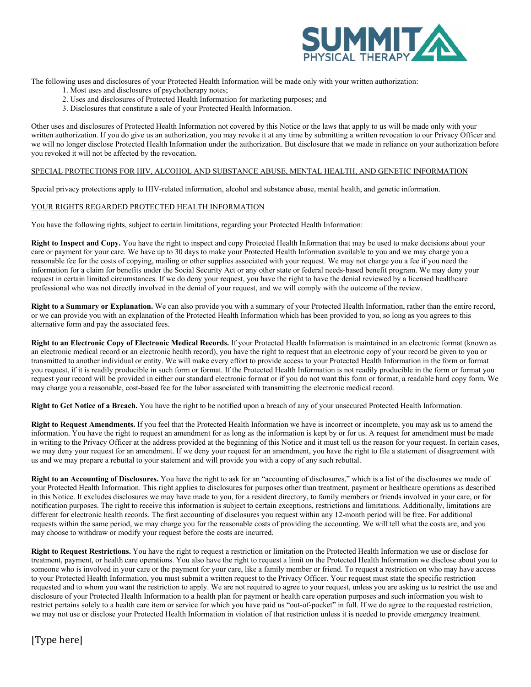

The following uses and disclosures of your Protected Health Information will be made only with your written authorization:

- 1. Most uses and disclosures of psychotherapy notes;
- 2. Uses and disclosures of Protected Health Information for marketing purposes; and
- 3. Disclosures that constitute a sale of your Protected Health Information.

Other uses and disclosures of Protected Health Information not covered by this Notice or the laws that apply to us will be made only with your written authorization. If you do give us an authorization, you may revoke it at any time by submitting a written revocation to our Privacy Officer and we will no longer disclose Protected Health Information under the authorization. But disclosure that we made in reliance on your authorization before you revoked it will not be affected by the revocation.

#### SPECIAL PROTECTIONS FOR HIV, ALCOHOL AND SUBSTANCE ABUSE, MENTAL HEALTH, AND GENETIC INFORMATION

Special privacy protections apply to HIV-related information, alcohol and substance abuse, mental health, and genetic information.

#### YOUR RIGHTS REGARDED PROTECTED HEALTH INFORMATION

You have the following rights, subject to certain limitations, regarding your Protected Health Information:

**Right to Inspect and Copy.** You have the right to inspect and copy Protected Health Information that may be used to make decisions about your care or payment for your care. We have up to 30 days to make your Protected Health Information available to you and we may charge you a reasonable fee for the costs of copying, mailing or other supplies associated with your request. We may not charge you a fee if you need the information for a claim for benefits under the Social Security Act or any other state or federal needs-based benefit program. We may deny your request in certain limited circumstances. If we do deny your request, you have the right to have the denial reviewed by a licensed healthcare professional who was not directly involved in the denial of your request, and we will comply with the outcome of the review.

**Right to a Summary or Explanation.** We can also provide you with a summary of your Protected Health Information, rather than the entire record, or we can provide you with an explanation of the Protected Health Information which has been provided to you, so long as you agrees to this alternative form and pay the associated fees.

**Right to an Electronic Copy of Electronic Medical Records.** If your Protected Health Information is maintained in an electronic format (known as an electronic medical record or an electronic health record), you have the right to request that an electronic copy of your record be given to you or transmitted to another individual or entity. We will make every effort to provide access to your Protected Health Information in the form or format you request, if it is readily producible in such form or format. If the Protected Health Information is not readily producible in the form or format you request your record will be provided in either our standard electronic format or if you do not want this form or format, a readable hard copy form*.* We may charge you a reasonable, cost-based fee for the labor associated with transmitting the electronic medical record.

**Right to Get Notice of a Breach.** You have the right to be notified upon a breach of any of your unsecured Protected Health Information.

**Right to Request Amendments.** If you feel that the Protected Health Information we have is incorrect or incomplete, you may ask us to amend the information. You have the right to request an amendment for as long as the information is kept by or for us. A request for amendment must be made in writing to the Privacy Officer at the address provided at the beginning of this Notice and it must tell us the reason for your request. In certain cases, we may deny your request for an amendment. If we deny your request for an amendment, you have the right to file a statement of disagreement with us and we may prepare a rebuttal to your statement and will provide you with a copy of any such rebuttal.

**Right to an Accounting of Disclosures.** You have the right to ask for an "accounting of disclosures," which is a list of the disclosures we made of your Protected Health Information. This right applies to disclosures for purposes other than treatment, payment or healthcare operations as described in this Notice. It excludes disclosures we may have made to you, for a resident directory, to family members or friends involved in your care, or for notification purposes. The right to receive this information is subject to certain exceptions, restrictions and limitations. Additionally, limitations are different for electronic health records. The first accounting of disclosures you request within any 12-month period will be free. For additional requests within the same period, we may charge you for the reasonable costs of providing the accounting. We will tell what the costs are, and you may choose to withdraw or modify your request before the costs are incurred.

**Right to Request Restrictions.** You have the right to request a restriction or limitation on the Protected Health Information we use or disclose for treatment, payment, or health care operations. You also have the right to request a limit on the Protected Health Information we disclose about you to someone who is involved in your care or the payment for your care, like a family member or friend. To request a restriction on who may have access to your Protected Health Information, you must submit a written request to the Privacy Officer. Your request must state the specific restriction requested and to whom you want the restriction to apply. We are not required to agree to your request, unless you are asking us to restrict the use and disclosure of your Protected Health Information to a health plan for payment or health care operation purposes and such information you wish to restrict pertains solely to a health care item or service for which you have paid us "out-of-pocket" in full. If we do agree to the requested restriction, we may not use or disclose your Protected Health Information in violation of that restriction unless it is needed to provide emergency treatment.

# [Type here]